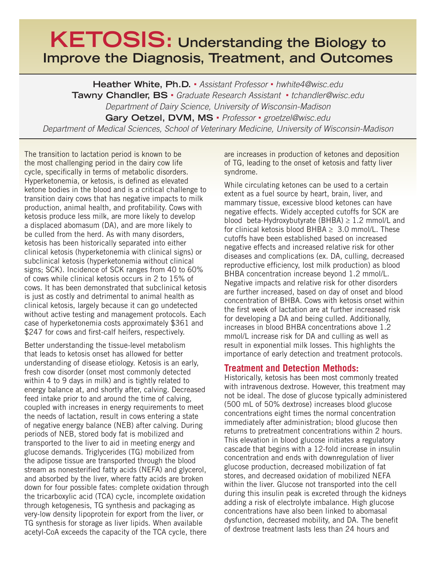## **KETOSIS: Understanding the Biology to Improve the Diagnosis, Treatment, and Outcomes**

**Heather White, Ph.D.** • *Assistant Professor* • *hwhite4@wisc.edu* **Tawny Chandler, BS** • *Graduate Research Assistant* • *tchandler@wisc.edu Department of Dairy Science, University of Wisconsin-Madison* **Gary Oetzel, DVM, MS** • *Professor* • *groetzel@wisc.edu Department of Medical Sciences, School of Veterinary Medicine, University of Wisconsin-Madison*

The transition to lactation period is known to be the most challenging period in the dairy cow life cycle, specifically in terms of metabolic disorders. Hyperketonemia, or ketosis, is defined as elevated ketone bodies in the blood and is a critical challenge to transition dairy cows that has negative impacts to milk production, animal health, and profitability. Cows with ketosis produce less milk, are more likely to develop a displaced abomasum (DA), and are more likely to be culled from the herd. As with many disorders, ketosis has been historically separated into either clinical ketosis (hyperketonemia with clinical signs) or subclinical ketosis (hyperketonemia without clinical signs; SCK). Incidence of SCK ranges from 40 to 60% of cows while clinical ketosis occurs in 2 to 15% of cows. It has been demonstrated that subclinical ketosis is just as costly and detrimental to animal health as clinical ketosis, largely because it can go undetected without active testing and management protocols. Each case of hyperketonemia costs approximately \$361 and \$247 for cows and first-calf heifers, respectively.

Better understanding the tissue-level metabolism that leads to ketosis onset has allowed for better understanding of disease etiology. Ketosis is an early, fresh cow disorder (onset most commonly detected within 4 to 9 days in milk) and is tightly related to energy balance at, and shortly after, calving. Decreased feed intake prior to and around the time of calving, coupled with increases in energy requirements to meet the needs of lactation, result in cows entering a state of negative energy balance (NEB) after calving. During periods of NEB, stored body fat is mobilized and transported to the liver to aid in meeting energy and glucose demands. Triglycerides (TG) mobilized from the adipose tissue are transported through the blood stream as nonesterified fatty acids (NEFA) and glycerol, and absorbed by the liver, where fatty acids are broken down for four possible fates: complete oxidation through the tricarboxylic acid (TCA) cycle, incomplete oxidation through ketogenesis, TG synthesis and packaging as very-low density lipoprotein for export from the liver, or TG synthesis for storage as liver lipids. When available acetyl-CoA exceeds the capacity of the TCA cycle, there

are increases in production of ketones and deposition of TG, leading to the onset of ketosis and fatty liver syndrome.

While circulating ketones can be used to a certain extent as a fuel source by heart, brain, liver, and mammary tissue, excessive blood ketones can have negative effects. Widely accepted cutoffs for SCK are blood beta-Hydroxybutyrate (BHBA)  $\geq$  1.2 mmol/L and for clinical ketosis blood BHBA  $\geq$  3.0 mmol/L. These cutoffs have been established based on increased negative effects and increased relative risk for other diseases and complications (ex. DA, culling, decreased reproductive efficiency, lost milk production) as blood BHBA concentration increase beyond 1.2 mmol/L. Negative impacts and relative risk for other disorders are further increased, based on day of onset and blood concentration of BHBA. Cows with ketosis onset within the first week of lactation are at further increased risk for developing a DA and being culled. Additionally, increases in blood BHBA concentrations above 1.2 mmol/L increase risk for DA and culling as well as result in exponential milk losses. This highlights the importance of early detection and treatment protocols.

## **Treatment and Detection Methods:**

Historically, ketosis has been most commonly treated with intravenous dextrose. However, this treatment may not be ideal. The dose of glucose typically administered (500 mL of 50% dextrose) increases blood glucose concentrations eight times the normal concentration immediately after administration; blood glucose then returns to pretreatment concentrations within 2 hours. This elevation in blood glucose initiates a regulatory cascade that begins with a 12-fold increase in insulin concentration and ends with downregulation of liver glucose production, decreased mobilization of fat stores, and decreased oxidation of mobilized NEFA within the liver. Glucose not transported into the cell during this insulin peak is excreted through the kidneys adding a risk of electrolyte imbalance. High glucose concentrations have also been linked to abomasal dysfunction, decreased mobility, and DA. The benefit of dextrose treatment lasts less than 24 hours and